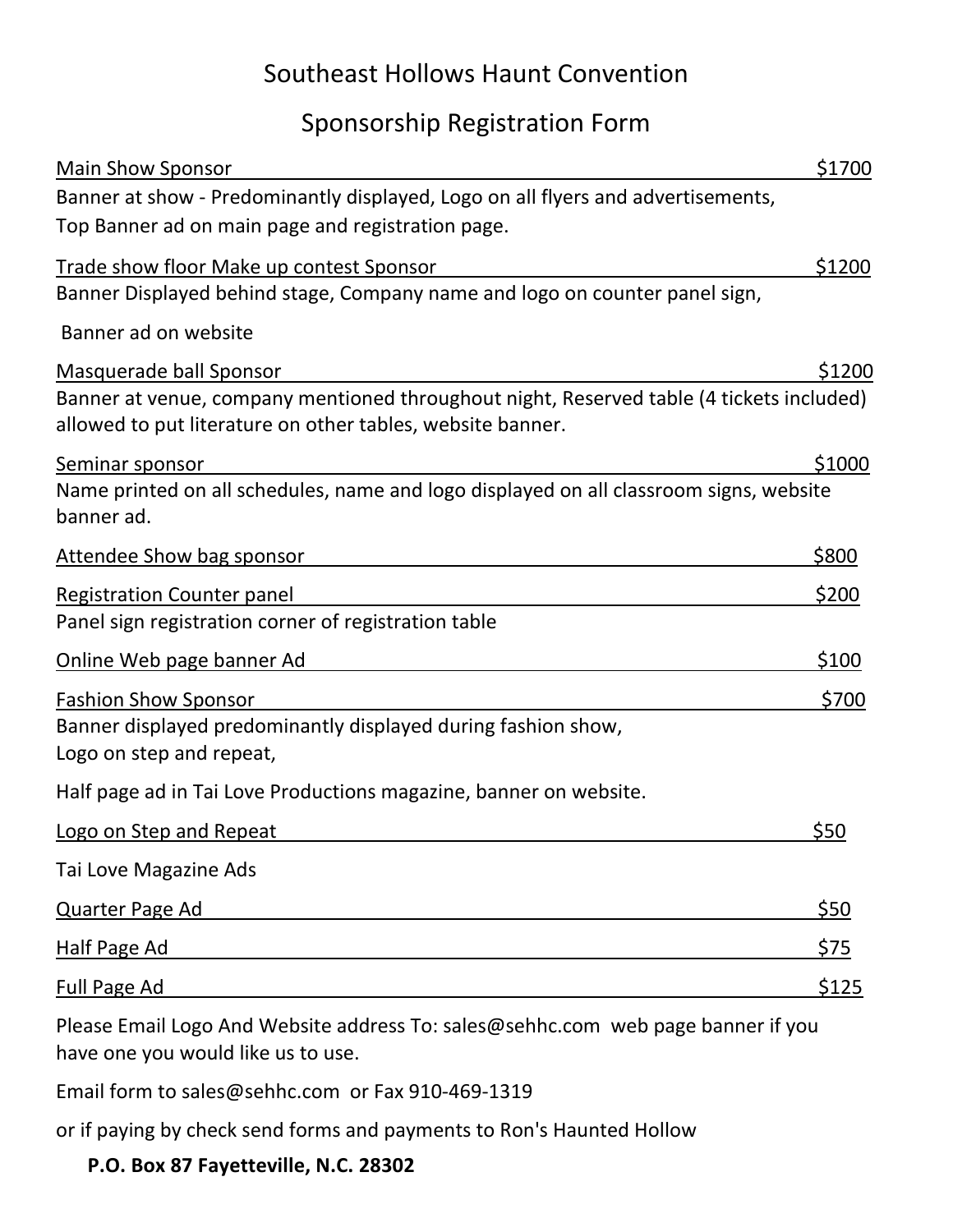## Southeast Hollows Haunt Convention

## Sponsorship Registration Form

| <b>Main Show Sponsor</b>                                                                                                                               | \$1700 |
|--------------------------------------------------------------------------------------------------------------------------------------------------------|--------|
| Banner at show - Predominantly displayed, Logo on all flyers and advertisements,                                                                       |        |
| Top Banner ad on main page and registration page.                                                                                                      |        |
| Trade show floor Make up contest Sponsor                                                                                                               | \$1200 |
| Banner Displayed behind stage, Company name and logo on counter panel sign,                                                                            |        |
| Banner ad on website                                                                                                                                   |        |
| Masquerade ball Sponsor                                                                                                                                | \$1200 |
| Banner at venue, company mentioned throughout night, Reserved table (4 tickets included)<br>allowed to put literature on other tables, website banner. |        |
| Seminar sponsor                                                                                                                                        | \$1000 |
| Name printed on all schedules, name and logo displayed on all classroom signs, website                                                                 |        |
| banner ad.                                                                                                                                             |        |
| <b>Attendee Show bag sponsor</b>                                                                                                                       | \$800  |
| <b>Registration Counter panel</b>                                                                                                                      | \$200  |
| Panel sign registration corner of registration table                                                                                                   |        |
| Online Web page banner Ad                                                                                                                              | \$100  |
| <b>Fashion Show Sponsor</b>                                                                                                                            | \$700  |
| Banner displayed predominantly displayed during fashion show,                                                                                          |        |
| Logo on step and repeat,                                                                                                                               |        |
| Half page ad in Tai Love Productions magazine, banner on website.                                                                                      |        |
| Logo on Step and Repeat                                                                                                                                | \$50   |
| Tai Love Magazine Ads                                                                                                                                  |        |
| <b>Quarter Page Ad</b>                                                                                                                                 | \$50   |
| <b>Half Page Ad</b>                                                                                                                                    | \$75   |
| <b>Full Page Ad</b>                                                                                                                                    | \$125  |
|                                                                                                                                                        |        |

Please Email Logo And Website address To: sales@sehhc.com web page banner if you have one you would like us to use.

Email form to sales@sehhc.com or Fax 910-469-1319

or if paying by check send forms and payments to Ron's Haunted Hollow

**P.O. Box 87 Fayetteville, N.C. 28302**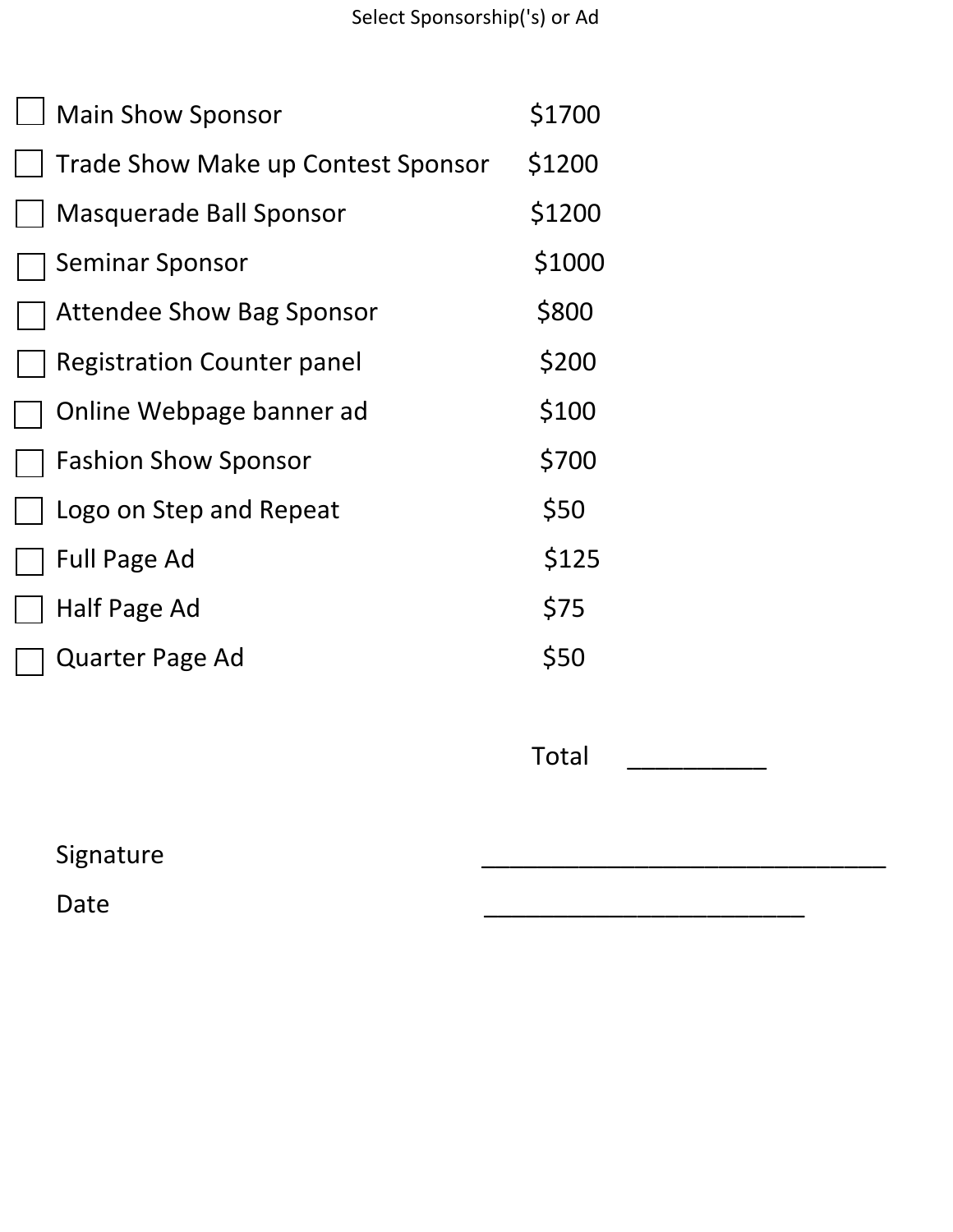| <b>Main Show Sponsor</b>           | \$1700 |
|------------------------------------|--------|
| Trade Show Make up Contest Sponsor | \$1200 |
| Masquerade Ball Sponsor            | \$1200 |
| Seminar Sponsor                    | \$1000 |
| <b>Attendee Show Bag Sponsor</b>   | \$800  |
| <b>Registration Counter panel</b>  | \$200  |
| Online Webpage banner ad           | \$100  |
| <b>Fashion Show Sponsor</b>        | \$700  |
| Logo on Step and Repeat            | \$50   |
| Full Page Ad                       | \$125  |
| Half Page Ad                       | \$75   |
| Quarter Page Ad                    | \$50   |

Total \_\_\_\_\_\_\_\_\_\_

Signature \_\_\_\_\_\_\_\_\_\_\_\_\_\_\_\_\_\_\_\_\_\_\_\_\_\_\_\_\_

Date \_\_\_\_\_\_\_\_\_\_\_\_\_\_\_\_\_\_\_\_\_\_\_